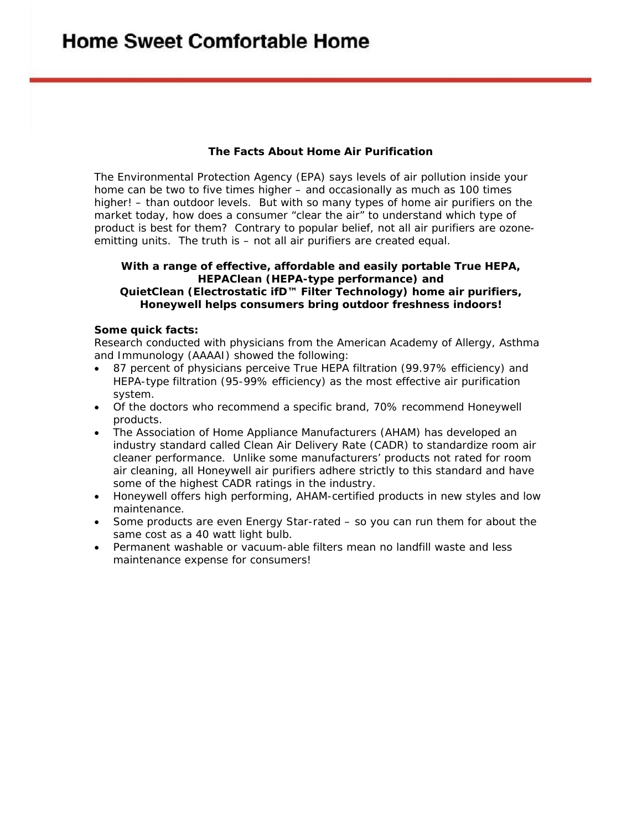## **The Facts About Home Air Purification**

The Environmental Protection Agency (EPA) says levels of air pollution *inside* your home can be two to five times higher – and occasionally as much as 100 times higher! – than outdoor levels. But with so many types of home air purifiers on the market today, how does a consumer "clear the air" to understand which type of product is best for them? Contrary to popular belief, not all air purifiers are ozoneemitting units. The truth is – *not all air purifiers are created equal.* 

## **With a range of effective, affordable and easily portable True HEPA, HEPAClean (HEPA-type performance) and QuietClean (Electrostatic ifD™ Filter Technology) home air purifiers, Honeywell helps consumers bring outdoor freshness indoors!**

## *Some quick facts:*

Research conducted with physicians from the American Academy of Allergy, Asthma and Immunology (AAAAI) showed the following:

- 87 percent of physicians perceive True HEPA filtration (99.97% efficiency) and HEPA-type filtration (95-99% efficiency) as the most effective air purification system.
- Of the doctors who recommend a specific brand, 70% recommend Honeywell products.
- The Association of Home Appliance Manufacturers (AHAM) has developed an industry standard called Clean Air Delivery Rate (CADR) to standardize room air cleaner performance. Unlike some manufacturers' products not rated for room air cleaning, all Honeywell air purifiers adhere strictly to this standard and have some of the highest CADR ratings in the industry.
- Honeywell offers high performing, AHAM-certified products in new styles and low maintenance.
- Some products are even Energy Star-rated so you can run them for about the same cost as a 40 watt light bulb.
- Permanent washable or vacuum-able filters mean no landfill waste and less maintenance expense for consumers!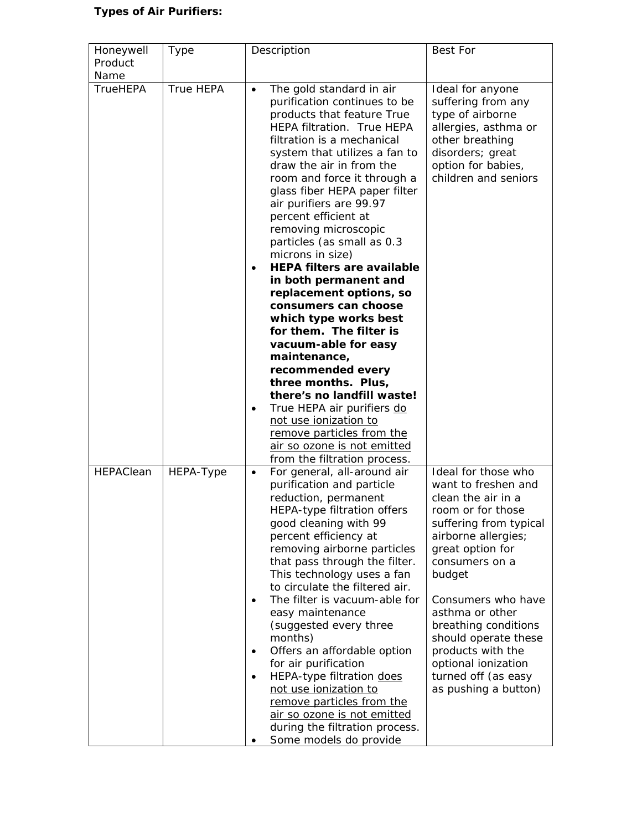## *Types of Air Purifiers:*

| Honeywell<br>Product | Type      | Description                                                                                                                                                                                                                                                                                                                                                                                                                                                                                                                                                                                                                                                                                                                                                                                                                                                  | <b>Best For</b>                                                                                                                                                                                                                                                                                                                                                            |
|----------------------|-----------|--------------------------------------------------------------------------------------------------------------------------------------------------------------------------------------------------------------------------------------------------------------------------------------------------------------------------------------------------------------------------------------------------------------------------------------------------------------------------------------------------------------------------------------------------------------------------------------------------------------------------------------------------------------------------------------------------------------------------------------------------------------------------------------------------------------------------------------------------------------|----------------------------------------------------------------------------------------------------------------------------------------------------------------------------------------------------------------------------------------------------------------------------------------------------------------------------------------------------------------------------|
| Name                 |           |                                                                                                                                                                                                                                                                                                                                                                                                                                                                                                                                                                                                                                                                                                                                                                                                                                                              |                                                                                                                                                                                                                                                                                                                                                                            |
| <b>TrueHEPA</b>      | True HEPA | The gold standard in air<br>$\bullet$<br>purification continues to be<br>products that feature True<br><b>HEPA filtration. True HEPA</b><br>filtration is a mechanical<br>system that utilizes a fan to<br>draw the air in from the<br>room and force it through a<br>glass fiber HEPA paper filter<br>air purifiers are 99.97<br>percent efficient at<br>removing microscopic<br>particles (as small as 0.3<br>microns in size)<br><b>HEPA filters are available</b><br>$\bullet$<br>in both permanent and<br>replacement options, so<br>consumers can choose<br>which type works best<br>for them. The filter is<br>vacuum-able for easy<br>maintenance,<br>recommended every<br>three months. Plus,<br>there's no landfill waste!<br>True HEPA air purifiers do<br>٠<br>not use ionization to<br>remove particles from the<br>air so ozone is not emitted | Ideal for anyone<br>suffering from any<br>type of airborne<br>allergies, asthma or<br>other breathing<br>disorders; great<br>option for babies,<br>children and seniors                                                                                                                                                                                                    |
| HEPAClean            | HEPA-Type | from the filtration process.<br>For general, all-around air<br>$\bullet$<br>purification and particle<br>reduction, permanent<br>HEPA-type filtration offers<br>good cleaning with 99<br>percent efficiency at<br>removing airborne particles<br>that pass through the filter.<br>This technology uses a fan<br>to circulate the filtered air.<br>The filter is vacuum-able for<br>$\bullet$<br>easy maintenance<br>(suggested every three<br>months)<br>Offers an affordable option<br>$\bullet$<br>for air purification<br>HEPA-type filtration does<br>$\bullet$<br>not use ionization to<br>remove particles from the<br>air so ozone is not emitted<br>during the filtration process.<br>Some models do provide                                                                                                                                         | Ideal for those who<br>want to freshen and<br>clean the air in a<br>room or for those<br>suffering from typical<br>airborne allergies;<br>great option for<br>consumers on a<br>budget<br>Consumers who have<br>asthma or other<br>breathing conditions<br>should operate these<br>products with the<br>optional ionization<br>turned off (as easy<br>as pushing a button) |